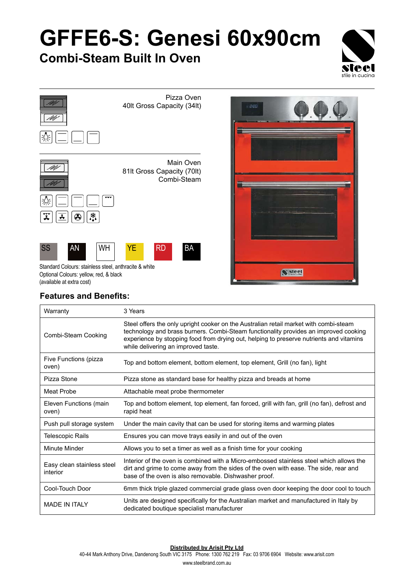# **GFFE6-S: Genesi 60x90cm**

### **Combi-Steam Built In Oven**







### **Features and Benefits:**

| Warranty                               | 3 Years                                                                                                                                                                                                                                                                                                         |
|----------------------------------------|-----------------------------------------------------------------------------------------------------------------------------------------------------------------------------------------------------------------------------------------------------------------------------------------------------------------|
| Combi-Steam Cooking                    | Steel offers the only upright cooker on the Australian retail market with combi-steam<br>technology and brass burners. Combi-Steam functionality provides an improved cooking<br>experience by stopping food from drying out, helping to preserve nutrients and vitamins<br>while delivering an improved taste. |
| Five Functions (pizza<br>oven)         | Top and bottom element, bottom element, top element, Grill (no fan), light                                                                                                                                                                                                                                      |
| Pizza Stone                            | Pizza stone as standard base for healthy pizza and breads at home                                                                                                                                                                                                                                               |
| Meat Probe                             | Attachable meat probe thermometer                                                                                                                                                                                                                                                                               |
| Eleven Functions (main<br>oven)        | Top and bottom element, top element, fan forced, grill with fan, grill (no fan), defrost and<br>rapid heat                                                                                                                                                                                                      |
| Push pull storage system               | Under the main cavity that can be used for storing items and warming plates                                                                                                                                                                                                                                     |
| <b>Telescopic Rails</b>                | Ensures you can move trays easily in and out of the oven                                                                                                                                                                                                                                                        |
| Minute Minder                          | Allows you to set a timer as well as a finish time for your cooking                                                                                                                                                                                                                                             |
| Easy clean stainless steel<br>interior | Interior of the oven is combined with a Micro-embossed stainless steel which allows the<br>dirt and grime to come away from the sides of the oven with ease. The side, rear and<br>base of the oven is also removable. Dishwasher proof.                                                                        |
| Cool-Touch Door                        | 6mm thick triple glazed commercial grade glass oven door keeping the door cool to touch                                                                                                                                                                                                                         |
| <b>MADE IN ITAI Y</b>                  | Units are designed specifically for the Australian market and manufactured in Italy by<br>dedicated boutique specialist manufacturer                                                                                                                                                                            |

#### **Distributed by Arisit Pty Ltd**

40-44 Mark Anthony Drive, Dandenong South VIC 3175 Phone: 1300 762 219 Fax: 03 9706 6904 Website: www.arisit.com